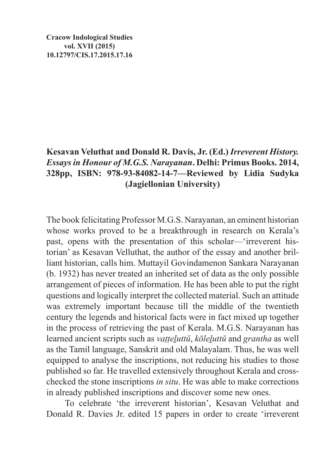**Cracow Indological Studies vol. XVII (2015) 10.12797/CIS.17.2015.17.16**

## **Kesavan Veluthat and Donald R. Davis, Jr. (Ed.)** *Irreverent History. Essays in Honour of M.G.S. Narayanan***. Delhi: Primus Books. 2014, 328pp, ISBN: 978-93-84082-14-7—Reviewed by Lidia Sudyka (Jagiellonian University)**

The book felicitating Professor M.G.S. Narayanan, an eminent historian whose works proved to be a breakthrough in research on Kerala's past, opens with the presentation of this scholar—'irreverent historian' as Kesavan Velluthat, the author of the essay and another brilliant historian, calls him. Muttayil Govindamenon Sankara Narayanan (b. 1932) has never treated an inherited set of data as the only possible arrangement of pieces of information. He has been able to put the right questions and logically interpret the collected material. Such an attitude was extremely important because till the middle of the twentieth century the legends and historical facts were in fact mixed up together in the process of retrieving the past of Kerala. M.G.S. Narayanan has learned ancient scripts such as *vaṭṭeḻuttŭ*, *kōleḻuttŭ* and *grantha* as well as the Tamil language, Sanskrit and old Malayalam. Thus, he was well equipped to analyse the inscriptions, not reducing his studies to those published so far. He travelled extensively throughout Kerala and crosschecked the stone inscriptions *in situ*. He was able to make corrections in already published inscriptions and discover some new ones.

To celebrate 'the irreverent historian', Kesavan Veluthat and Donald R. Davies Jr. edited 15 papers in order to create 'irreverent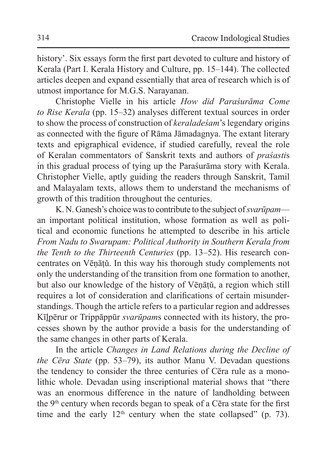history'. Six essays form the first part devoted to culture and history of Kerala (Part I. Kerala History and Culture, pp. 15–144). The collected articles deepen and expand essentially that area of research which is of utmost importance for M.G.S. Narayanan.

Christophe Vielle in his article *How did Paraśurāma Come to Rise Kerala* (pp. 15–32) analyses different textual sources in order to show the process of construction of *keraladeśam*'s legendary origins as connected with the figure of Rāma Jāmadagnya. The extant literary texts and epigraphical evidence, if studied carefully, reveal the role of Keralan commentators of Sanskrit texts and authors of *praśasti*s in this gradual process of tying up the Paraśurāma story with Kerala. Christopher Vielle, aptly guiding the readers through Sanskrit, Tamil and Malayalam texts, allows them to understand the mechanisms of growth of this tradition throughout the centuries.

K. N. Ganesh's choice was to contribute to the subject of *svarūpam* an important political institution, whose formation as well as political and economic functions he attempted to describe in his article *From Nadu to Swarupam: Political Authority in Southern Kerala from the Tenth to the Thirteenth Centuries* (pp. 13–52). His research concentrates on Vēṇāṭǔ. In this way his thorough study complements not only the understanding of the transition from one formation to another, but also our knowledge of the history of Vēṇāṭǔ, a region which still requires a lot of consideration and clarifications of certain misunderstandings. Though the article refers to a particular region and addresses Kīḻpērur or Trippāppūr *svarūpam*s connected with its history, the processes shown by the author provide a basis for the understanding of the same changes in other parts of Kerala.

In the article *Changes in Land Relations during the Decline of the Cēra State* (pp. 53–79), its author Manu V. Devadan questions the tendency to consider the three centuries of Cēra rule as a monolithic whole. Devadan using inscriptional material shows that "there was an enormous difference in the nature of landholding between the 9<sup>th</sup> century when records began to speak of a Cēra state for the first time and the early  $12<sup>th</sup>$  century when the state collapsed" (p. 73).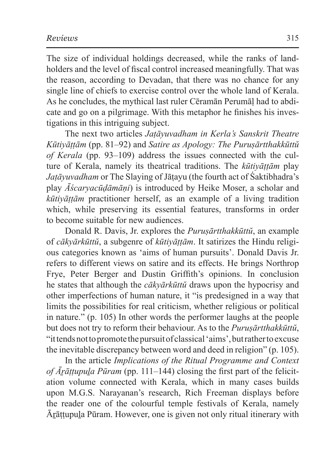The size of individual holdings decreased, while the ranks of landholders and the level of fiscal control increased meaningfully. That was the reason, according to Devadan, that there was no chance for any single line of chiefs to exercise control over the whole land of Kerala. As he concludes, the mythical last ruler Cēramān Perumāḷ had to abdicate and go on a pilgrimage. With this metaphor he finishes his investigations in this intriguing subject.

The next two articles *Jaṭāyuvadham in Kerla's Sanskrit Theatre Kūtiyāṭṭām* (pp. 81–92) and *Satire as Apology: The Puruṣārtthakkūttŭ of Kerala* (pp. 93–109) address the issues connected with the culture of Kerala, namely its theatrical traditions. The *kūtiyāṭṭām* play *Jaṭāyuvadham* or The Slaying of Jāṭayu (the fourth act of Śaktibhadra's play *Āścaryacūḍāmāṇi*) is introduced by Heike Moser, a scholar and *kūtiyāṭṭām* practitioner herself, as an example of a living tradition which, while preserving its essential features, transforms in order to become suitable for new audiences.

Donald R. Davis, Jr. explores the *Puruṣārtthakkūttŭ*, an example of *cākyārkūttŭ*, a subgenre of *kūtiyāṭṭām*. It satirizes the Hindu religious categories known as 'aims of human pursuits'. Donald Davis Jr. refers to different views on satire and its effects. He brings Northrop Frye, Peter Berger and Dustin Griffith's opinions. In conclusion he states that although the *cākyārkūttŭ* draws upon the hypocrisy and other imperfections of human nature, it "is predesigned in a way that limits the possibilities for real criticism, whether religious or political in nature." (p. 105) In other words the performer laughs at the people but does not try to reform their behaviour. As to the *Puruṣārtthakkūttŭ*, "ittends not topromote thepursuit of classical 'aims', but rather toexcuse the inevitable discrepancy between word and deed in religion" (p. 105).

In the article *Implications of the Ritual Programme and Context of Āṟāṭṭupuḻa Pūram* (pp. 111–144) closing the first part of the felicitation volume connected with Kerala, which in many cases builds upon M.G.S. Narayanan's research, Rich Freeman displays before the reader one of the colourful temple festivals of Kerala, namely Ārāttupula Pūram. However, one is given not only ritual itinerary with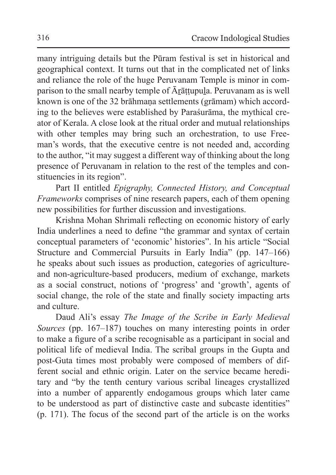many intriguing details but the Pūram festival is set in historical and geographical context. It turns out that in the complicated net of links and reliance the role of the huge Peruvanam Temple is minor in comparison to the small nearby temple of  $\bar{A}$ *rattupula*. Peruvanam as is well known is one of the 32 brāhmana settlements (grāmam) which according to the believes were established by Paraśurāma, the mythical creator of Kerala. A close look at the ritual order and mutual relationships with other temples may bring such an orchestration, to use Freeman's words, that the executive centre is not needed and, according to the author, "it may suggest a different way of thinking about the long presence of Peruvanam in relation to the rest of the temples and constituencies in its region".

Part II entitled *Epigraphy, Connected History, and Conceptual Frameworks* comprises of nine research papers, each of them opening new possibilities for further discussion and investigations.

Krishna Mohan Shrimali reflecting on economic history of early India underlines a need to define "the grammar and syntax of certain conceptual parameters of 'economic' histories". In his article "Social Structure and Commercial Pursuits in Early India" (pp. 147–166) he speaks about such issues as production, categories of agricultureand non-agriculture-based producers, medium of exchange, markets as a social construct, notions of 'progress' and 'growth', agents of social change, the role of the state and finally society impacting arts and culture.

Daud Ali's essay *The Image of the Scribe in Early Medieval Sources* (pp. 167–187) touches on many interesting points in order to make a figure of a scribe recognisable as a participant in social and political life of medieval India. The scribal groups in the Gupta and post-Guta times most probably were composed of members of different social and ethnic origin. Later on the service became hereditary and "by the tenth century various scribal lineages crystallized into a number of apparently endogamous groups which later came to be understood as part of distinctive caste and subcaste identities" (p. 171). The focus of the second part of the article is on the works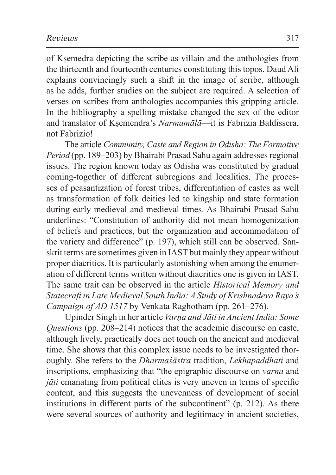of Kṣemedra depicting the scribe as villain and the anthologies from the thirteenth and fourteenth centuries constituting this topos. Daud Ali explains convincingly such a shift in the image of scribe, although as he adds, further studies on the subject are required. A selection of verses on scribes from anthologies accompanies this gripping article. In the bibliography a spelling mistake changed the sex of the editor and translator of Kṣemendra's *Narmamālā*—it is Fabrizia Baldissera, not Fabrizio!

The article *Community, Caste and Region in Odisha: The Formative Period* (pp. 189–203) by Bhairabi Prasad Sahu again addresses regional issues. The region known today as Odisha was constituted by gradual coming-together of different subregions and localities. The processes of peasantization of forest tribes, differentiation of castes as well as transformation of folk deities led to kingship and state formation during early medieval and medieval times. As Bhairabi Prasad Sahu underlines: "Constitution of authority did not mean homogenization of beliefs and practices, but the organization and accommodation of the variety and difference" (p. 197), which still can be observed. Sanskrit terms are sometimes given in IAST but mainly they appear without proper diacritics. It is particularly astonishing when among the enumeration of different terms written without diacritics one is given in IAST. The same trait can be observed in the article *Historical Memory and Statecraft in Late Medieval South India: A Study of Krishnadeva Raya's Campaign of AD 1517* by Venkata Raghotham (pp. 261–276).

Upinder Singh in her article *Varṇa and Jāti in Ancient India: Some Questions* (pp. 208–214) notices that the academic discourse on caste, although lively, practically does not touch on the ancient and medieval time. She shows that this complex issue needs to be investigated thoroughly. She refers to the *Dharmaśāstra* tradition, *Lekhapaddhati* and inscriptions, emphasizing that "the epigraphic discourse on *varṇa* and *jāti* emanating from political elites is very uneven in terms of specific content, and this suggests the unevenness of development of social institutions in different parts of the subcontinent" (p. 212). As there were several sources of authority and legitimacy in ancient societies,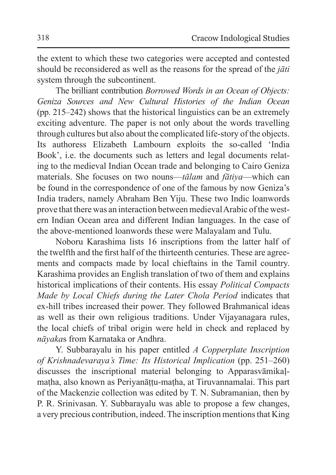the extent to which these two categories were accepted and contested should be reconsidered as well as the reasons for the spread of the *jāti* system through the subcontinent.

The brilliant contribution *Borrowed Words in an Ocean of Objects: Geniza Sources and New Cultural Histories of the Indian Ocean*  (pp. 215–242) shows that the historical linguistics can be an extremely exciting adventure. The paper is not only about the words travelling through cultures but also about the complicated life-story of the objects. Its authoress Elizabeth Lambourn exploits the so-called 'India Book', i.e. the documents such as letters and legal documents relating to the medieval Indian Ocean trade and belonging to Cairo Geniza materials. She focuses on two nouns—*tālam* and *fātiya*—which can be found in the correspondence of one of the famous by now Geniza's India traders, namely Abraham Ben Yiju. These two Indic loanwords prove that there was an interaction between medieval Arabic of the western Indian Ocean area and different Indian languages. In the case of the above-mentioned loanwords these were Malayalam and Tulu.

Noboru Karashima lists 16 inscriptions from the latter half of the twelfth and the first half of the thirteenth centuries. These are agreements and compacts made by local chieftains in the Tamil country. Karashima provides an English translation of two of them and explains historical implications of their contents. His essay *Political Compacts Made by Local Chiefs during the Later Chola Period* indicates that ex-hill tribes increased their power. They followed Brahmanical ideas as well as their own religious traditions. Under Vijayanagara rules, the local chiefs of tribal origin were held in check and replaced by *nāyaka*s from Karnataka or Andhra.

Y. Subbarayalu in his paper entitled *A Copperplate Inscription of Krishnadevaraya's Time: Its Historical Implication* (pp. 251–260) discusses the inscriptional material belonging to Apparasvāmikaḷmaṭha, also known as Periyanāṭṭu-maṭha, at Tiruvannamalai. This part of the Mackenzie collection was edited by T. N. Subramanian, then by P. R. Srinivasan. Y. Subbarayalu was able to propose a few changes, a very precious contribution, indeed. The inscription mentions that King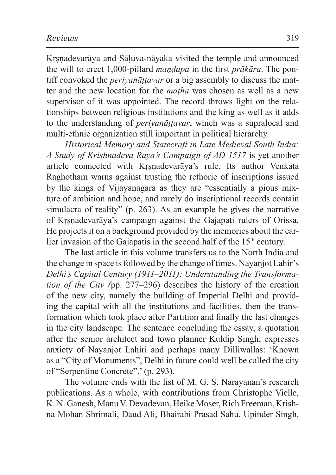Krsnadevarāya and Sāluva-nāyaka visited the temple and announced the will to erect 1,000-pillard *maṇḍapa* in the first *prākāra*. The pontiff convoked the *periyanāṭṭavar* or a big assembly to discuss the matter and the new location for the *maṭha* was chosen as well as a new supervisor of it was appointed. The record throws light on the relationships between religious institutions and the king as well as it adds to the understanding of *periyanāṭṭavar*, which was a supralocal and multi-ethnic organization still important in political hierarchy.

*Historical Memory and Statecraft in Late Medieval South India: A Study of Krishnadeva Raya's Campaign of AD 1517* is yet another article connected with Kṛṣṇadevarāya's rule. Its author Venkata Raghotham warns against trusting the rethoric of inscriptions issued by the kings of Vijayanagara as they are "essentially a pious mixture of ambition and hope, and rarely do inscriptional records contain simulacra of reality" (p. 263). As an example he gives the narrative of Kṛṣṇadevarāya's campaign against the Gajapati rulers of Orissa. He projects it on a background provided by the memories about the earlier invasion of the Gajapatis in the second half of the  $15<sup>th</sup>$  century.

The last article in this volume transfers us to the North India and the change in space is followed by the change of times. Nayanjot Lahir's *Delhi's Capital Century (1911–2011): Understanding the Transformation of the City (*pp. 277–296) describes the history of the creation of the new city, namely the building of Imperial Delhi and providing the capital with all the institutions and facilities, then the transformation which took place after Partition and finally the last changes in the city landscape. The sentence concluding the essay, a quotation after the senior architect and town planner Kuldip Singh, expresses anxiety of Nayanjot Lahiri and perhaps many Dilliwallas: 'Known as a "City of Monuments", Delhi in future could well be called the city of "Serpentine Concrete".' (p. 293).

The volume ends with the list of M. G. S. Narayanan's research publications. As a whole, with contributions from Christophe Vielle, K. N. Ganesh, Manu V. Devadevan, Heike Moser, Rich Freeman, Krishna Mohan Shrimali, Daud Ali, Bhairabi Prasad Sahu, Upinder Singh,